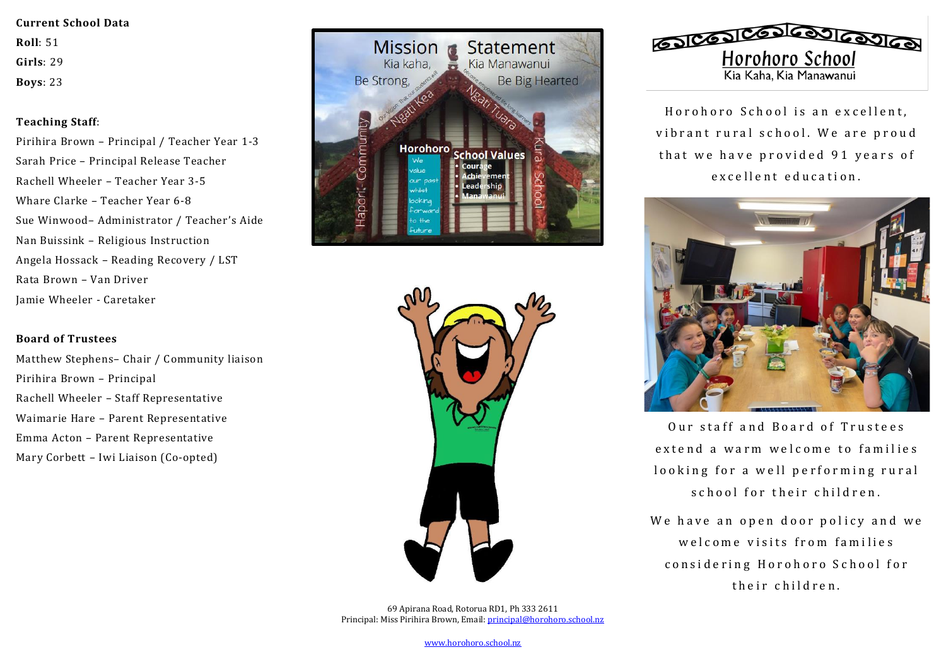### **Current School Data**

**Roll**: 51

**Girls**: 29

**Boys**: 23

# **Teaching Staff**:

Pirihira Brown – Principal / Teacher Year 1-3 Sarah Price – Principal Release Teacher Rachell Wheeler – Teacher Year 3-5 Whare Clarke – Teacher Year 6-8 Sue Winwood– Administrator / Teacher's Aide Nan Buissink – Religious Instruction Angela Hossack – Reading Recovery / LST Rata Brown – Van Driver Jamie Wheeler - Caretaker

# **Board of Trustees**

Matthew Stephens– Chair / Community liaison Pirihira Brown – Principal Rachell Wheeler – Staff Representative Waimarie Hare – Parent Representative Emma Acton – Parent Representative Mary Corbett – Iwi Liaison (Co-opted)







Horohoro School is an excellent. vibrant rural school. We are proud that we have provided 91 years of excellent education.



Our staff and Board of Trustees extend a warm welcome to families looking for a well performing rural school for their children.

We have an open door policy and we welcome visits from families considering Horohoro School for their children.

[www.horohoro.school.nz](http://www.horohoro.school.nz/)